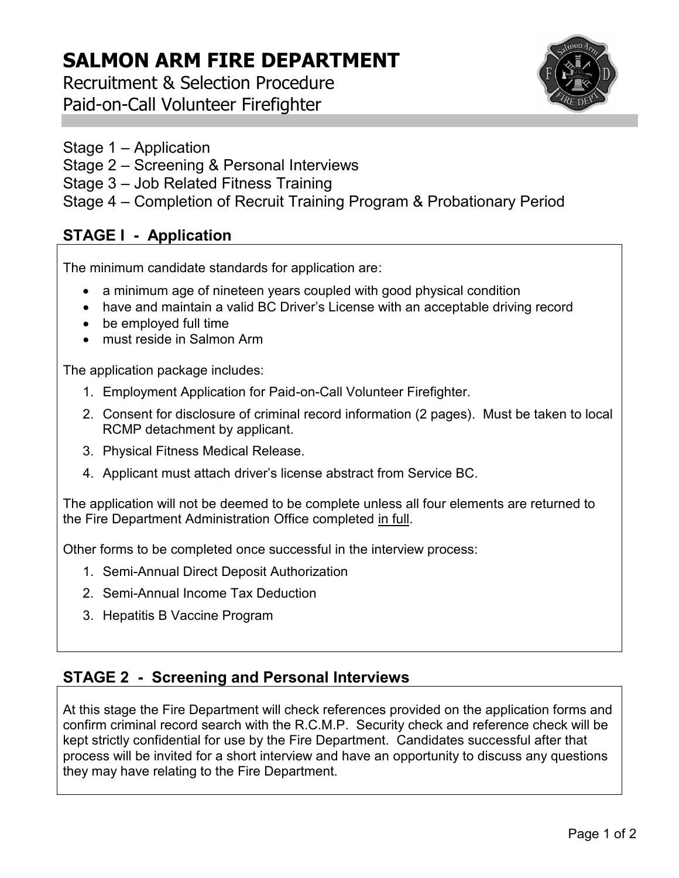## **SALMON ARM FIRE DEPARTMENT**

Recruitment & Selection Procedure Paid-on-Call Volunteer Firefighter



- Stage 1 Application
- Stage 2 Screening & Personal Interviews
- Stage 3 Job Related Fitness Training
- Stage 4 Completion of Recruit Training Program & Probationary Period

#### **STAGE I - Application**

The minimum candidate standards for application are:

- a minimum age of nineteen years coupled with good physical condition
- have and maintain a valid BC Driver's License with an acceptable driving record
- be employed full time
- must reside in Salmon Arm

The application package includes:

- 1. Employment Application for Paid-on-Call Volunteer Firefighter.
- 2. Consent for disclosure of criminal record information (2 pages). Must be taken to local RCMP detachment by applicant.
- 3. Physical Fitness Medical Release.
- 4. Applicant must attach driver's license abstract from Service BC.

The application will not be deemed to be complete unless all four elements are returned to the Fire Department Administration Office completed in full.

Other forms to be completed once successful in the interview process:

- 1. Semi-Annual Direct Deposit Authorization
- 2. Semi-Annual Income Tax Deduction
- 3. Hepatitis B Vaccine Program

#### **STAGE 2 - Screening and Personal Interviews**

At this stage the Fire Department will check references provided on the application forms and confirm criminal record search with the R.C.M.P. Security check and reference check will be kept strictly confidential for use by the Fire Department. Candidates successful after that process will be invited for a short interview and have an opportunity to discuss any questions they may have relating to the Fire Department.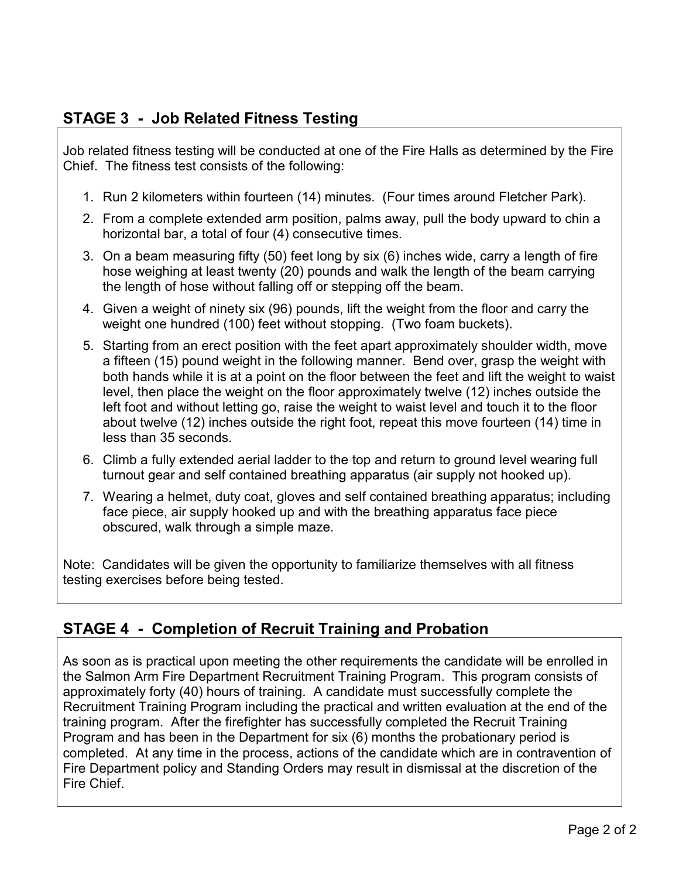### **STAGE 3 - Job Related Fitness Testing**

Job related fitness testing will be conducted at one of the Fire Halls as determined by the Fire Chief. The fitness test consists of the following:

- 1. Run 2 kilometers within fourteen (14) minutes. (Four times around Fletcher Park).
- 2. From a complete extended arm position, palms away, pull the body upward to chin a horizontal bar, a total of four (4) consecutive times.
- 3. On a beam measuring fifty (50) feet long by six (6) inches wide, carry a length of fire hose weighing at least twenty (20) pounds and walk the length of the beam carrying the length of hose without falling off or stepping off the beam.
- 4. Given a weight of ninety six (96) pounds, lift the weight from the floor and carry the weight one hundred (100) feet without stopping. (Two foam buckets).
- 5. Starting from an erect position with the feet apart approximately shoulder width, move a fifteen (15) pound weight in the following manner. Bend over, grasp the weight with both hands while it is at a point on the floor between the feet and lift the weight to waist level, then place the weight on the floor approximately twelve (12) inches outside the left foot and without letting go, raise the weight to waist level and touch it to the floor about twelve (12) inches outside the right foot, repeat this move fourteen (14) time in less than 35 seconds.
- 6. Climb a fully extended aerial ladder to the top and return to ground level wearing full turnout gear and self contained breathing apparatus (air supply not hooked up).
- 7. Wearing a helmet, duty coat, gloves and self contained breathing apparatus; including face piece, air supply hooked up and with the breathing apparatus face piece obscured, walk through a simple maze.

Note: Candidates will be given the opportunity to familiarize themselves with all fitness testing exercises before being tested.

#### **STAGE 4 - Completion of Recruit Training and Probation**

As soon as is practical upon meeting the other requirements the candidate will be enrolled in the Salmon Arm Fire Department Recruitment Training Program. This program consists of approximately forty (40) hours of training. A candidate must successfully complete the Recruitment Training Program including the practical and written evaluation at the end of the training program. After the firefighter has successfully completed the Recruit Training Program and has been in the Department for six (6) months the probationary period is completed. At any time in the process, actions of the candidate which are in contravention of Fire Department policy and Standing Orders may result in dismissal at the discretion of the Fire Chief.